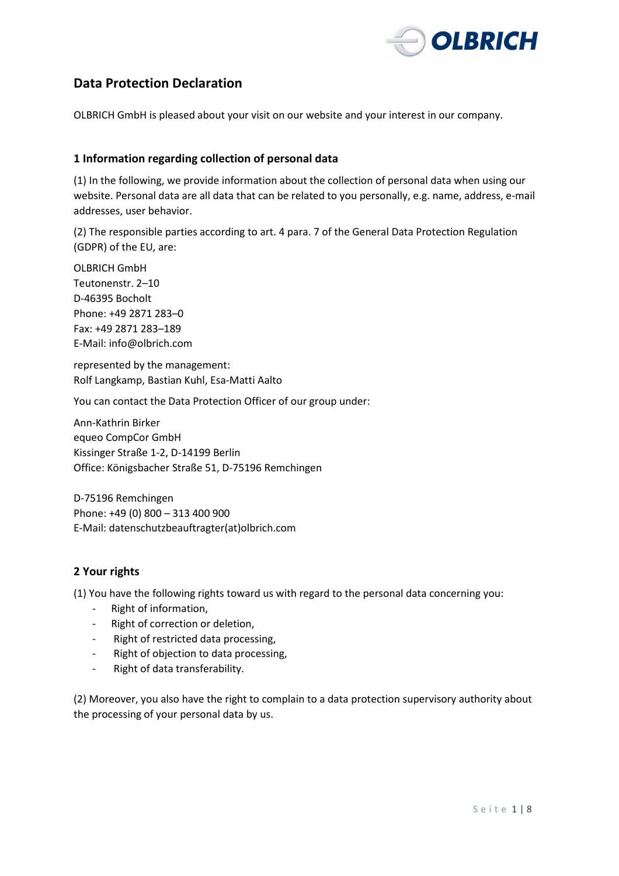

# **Data Protection Declaration**

OLBRICH GmbH is pleased about your visit on our website and your interest in our company.

### **1 Information regarding collection of personal data**

(1) In the following, we provide information about the collection of personal data when using our website. Personal data are all data that can be related to you personally, e.g. name, address, e-mail addresses, user behavior.

(2) The responsible parties according to art. 4 para. 7 of the General Data Protection Regulation (GDPR) of the EU, are:

OLBRICH GmbH Teutonenstr. 2–10 D-46395 Bocholt Phone: +49 2871 283–0 Fax: +49 2871 283–189 E-Mail: info@olbrich.com

represented by the management: Rolf Langkamp, Bastian Kuhl, Esa-Matti Aalto

You can contact the Data Protection Officer of our group under:

Ann-Kathrin Birker equeo CompCor GmbH Kissinger Straße 1-2, D-14199 Berlin Office: Königsbacher Straße 51, D-75196 Remchingen

D-75196 Remchingen Phone: +49 (0) 800 – 313 400 900 E-Mail: datenschutzbeauftragter(at)olbrich.com

# **2 Your rights**

(1) You have the following rights toward us with regard to the personal data concerning you:

- Right of information,
- Right of correction or deletion,
- Right of restricted data processing,
- Right of objection to data processing,
- Right of data transferability.

(2) Moreover, you also have the right to complain to a data protection supervisory authority about the processing of your personal data by us.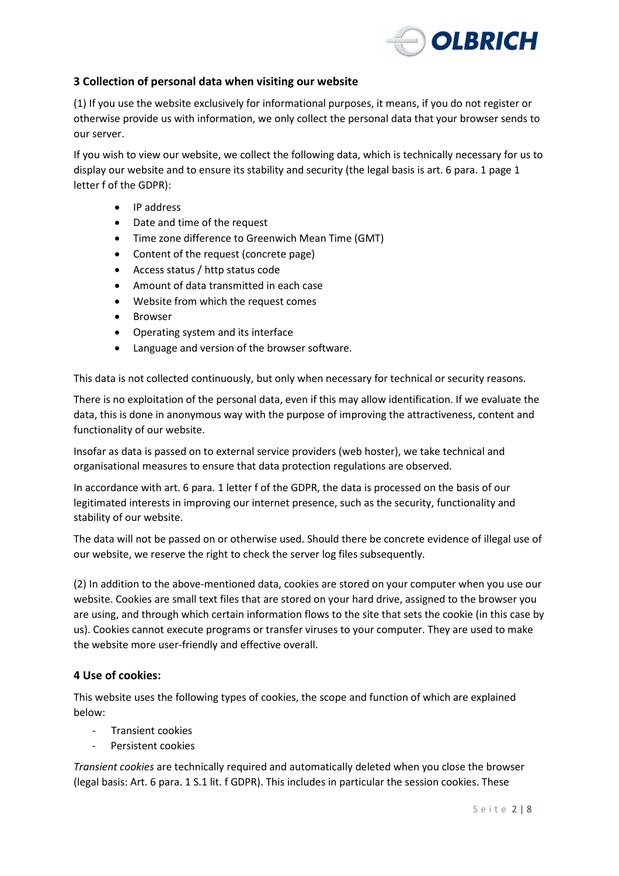

# **3 Collection of personal data when visiting our website**

(1) If you use the website exclusively for informational purposes, it means, if you do not register or otherwise provide us with information, we only collect the personal data that your browser sends to our server.

If you wish to view our website, we collect the following data, which is technically necessary for us to display our website and to ensure its stability and security (the legal basis is art. 6 para. 1 page 1 letter f of the GDPR):

- IP address
- Date and time of the request
- Time zone difference to Greenwich Mean Time (GMT)
- Content of the request (concrete page)
- Access status / http status code
- Amount of data transmitted in each case
- Website from which the request comes
- Browser
- Operating system and its interface
- Language and version of the browser software.

This data is not collected continuously, but only when necessary for technical or security reasons.

There is no exploitation of the personal data, even if this may allow identification. If we evaluate the data, this is done in anonymous way with the purpose of improving the attractiveness, content and functionality of our website.

Insofar as data is passed on to external service providers (web hoster), we take technical and organisational measures to ensure that data protection regulations are observed.

In accordance with art. 6 para. 1 letter f of the GDPR, the data is processed on the basis of our legitimated interests in improving our internet presence, such as the security, functionality and stability of our website.

The data will not be passed on or otherwise used. Should there be concrete evidence of illegal use of our website, we reserve the right to check the server log files subsequently.

(2) In addition to the above-mentioned data, cookies are stored on your computer when you use our website. Cookies are small text files that are stored on your hard drive, assigned to the browser you are using, and through which certain information flows to the site that sets the cookie (in this case by us). Cookies cannot execute programs or transfer viruses to your computer. They are used to make the website more user-friendly and effective overall.

# **4 Use of cookies:**

This website uses the following types of cookies, the scope and function of which are explained below:

- Transient cookies
- Persistent cookies

*Transient cookies* are technically required and automatically deleted when you close the browser (legal basis: Art. 6 para. 1 S.1 lit. f GDPR). This includes in particular the session cookies. These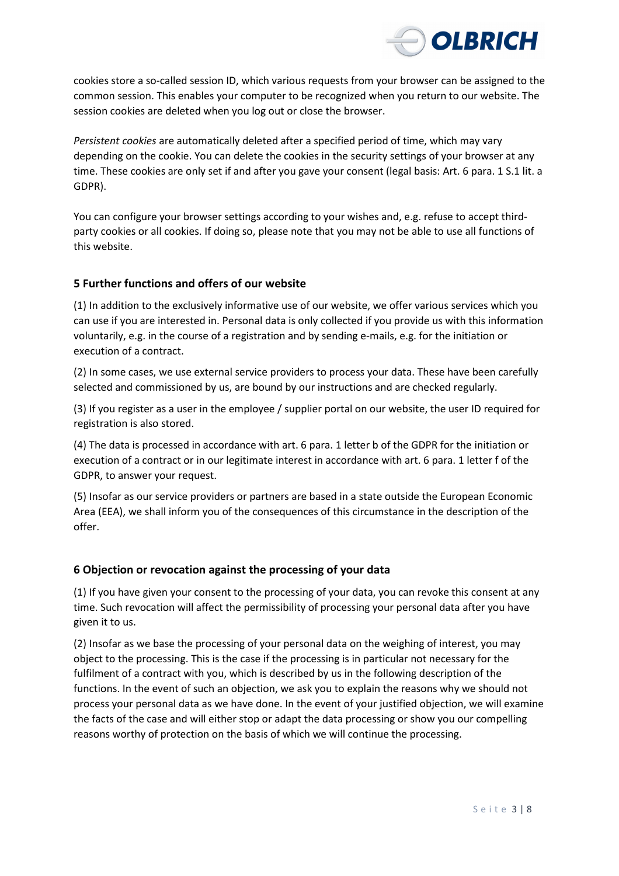

cookies store a so-called session ID, which various requests from your browser can be assigned to the common session. This enables your computer to be recognized when you return to our website. The session cookies are deleted when you log out or close the browser.

*Persistent cookies* are automatically deleted after a specified period of time, which may vary depending on the cookie. You can delete the cookies in the security settings of your browser at any time. These cookies are only set if and after you gave your consent (legal basis: Art. 6 para. 1 S.1 lit. a GDPR).

You can configure your browser settings according to your wishes and, e.g. refuse to accept thirdparty cookies or all cookies. If doing so, please note that you may not be able to use all functions of this website.

# **5 Further functions and offers of our website**

(1) In addition to the exclusively informative use of our website, we offer various services which you can use if you are interested in. Personal data is only collected if you provide us with this information voluntarily, e.g. in the course of a registration and by sending e-mails, e.g. for the initiation or execution of a contract.

(2) In some cases, we use external service providers to process your data. These have been carefully selected and commissioned by us, are bound by our instructions and are checked regularly.

(3) If you register as a user in the employee / supplier portal on our website, the user ID required for registration is also stored.

(4) The data is processed in accordance with art. 6 para. 1 letter b of the GDPR for the initiation or execution of a contract or in our legitimate interest in accordance with art. 6 para. 1 letter f of the GDPR, to answer your request.

(5) Insofar as our service providers or partners are based in a state outside the European Economic Area (EEA), we shall inform you of the consequences of this circumstance in the description of the offer.

# **6 Objection or revocation against the processing of your data**

(1) If you have given your consent to the processing of your data, you can revoke this consent at any time. Such revocation will affect the permissibility of processing your personal data after you have given it to us.

(2) Insofar as we base the processing of your personal data on the weighing of interest, you may object to the processing. This is the case if the processing is in particular not necessary for the fulfilment of a contract with you, which is described by us in the following description of the functions. In the event of such an objection, we ask you to explain the reasons why we should not process your personal data as we have done. In the event of your justified objection, we will examine the facts of the case and will either stop or adapt the data processing or show you our compelling reasons worthy of protection on the basis of which we will continue the processing.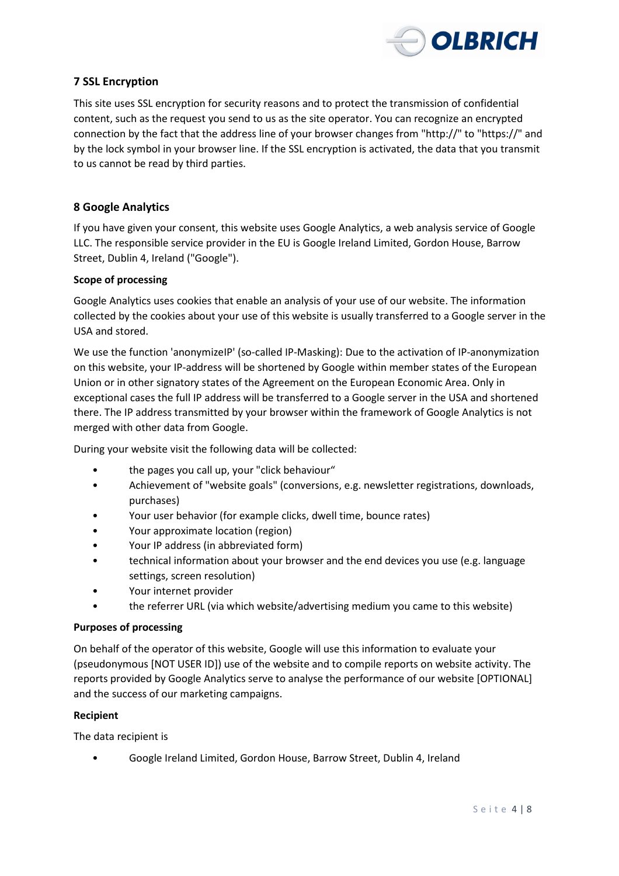

# **7 SSL Encryption**

This site uses SSL encryption for security reasons and to protect the transmission of confidential content, such as the request you send to us as the site operator. You can recognize an encrypted connection by the fact that the address line of your browser changes from "http://" to "https://" and by the lock symbol in your browser line. If the SSL encryption is activated, the data that you transmit to us cannot be read by third parties.

# **8 Google Analytics**

If you have given your consent, this website uses Google Analytics, a web analysis service of Google LLC. The responsible service provider in the EU is Google Ireland Limited, Gordon House, Barrow Street, Dublin 4, Ireland ("Google").

#### **Scope of processing**

Google Analytics uses cookies that enable an analysis of your use of our website. The information collected by the cookies about your use of this website is usually transferred to a Google server in the USA and stored.

We use the function 'anonymizeIP' (so-called IP-Masking): Due to the activation of IP-anonymization on this website, your IP-address will be shortened by Google within member states of the European Union or in other signatory states of the Agreement on the European Economic Area. Only in exceptional cases the full IP address will be transferred to a Google server in the USA and shortened there. The IP address transmitted by your browser within the framework of Google Analytics is not merged with other data from Google.

During your website visit the following data will be collected:

- the pages you call up, your "click behaviour"
- Achievement of "website goals" (conversions, e.g. newsletter registrations, downloads, purchases)
- Your user behavior (for example clicks, dwell time, bounce rates)
- Your approximate location (region)
- Your IP address (in abbreviated form)
- technical information about your browser and the end devices you use (e.g. language settings, screen resolution)
- Your internet provider
- the referrer URL (via which website/advertising medium you came to this website)

#### **Purposes of processing**

On behalf of the operator of this website, Google will use this information to evaluate your (pseudonymous [NOT USER ID]) use of the website and to compile reports on website activity. The reports provided by Google Analytics serve to analyse the performance of our website [OPTIONAL] and the success of our marketing campaigns.

#### **Recipient**

The data recipient is

• Google Ireland Limited, Gordon House, Barrow Street, Dublin 4, Ireland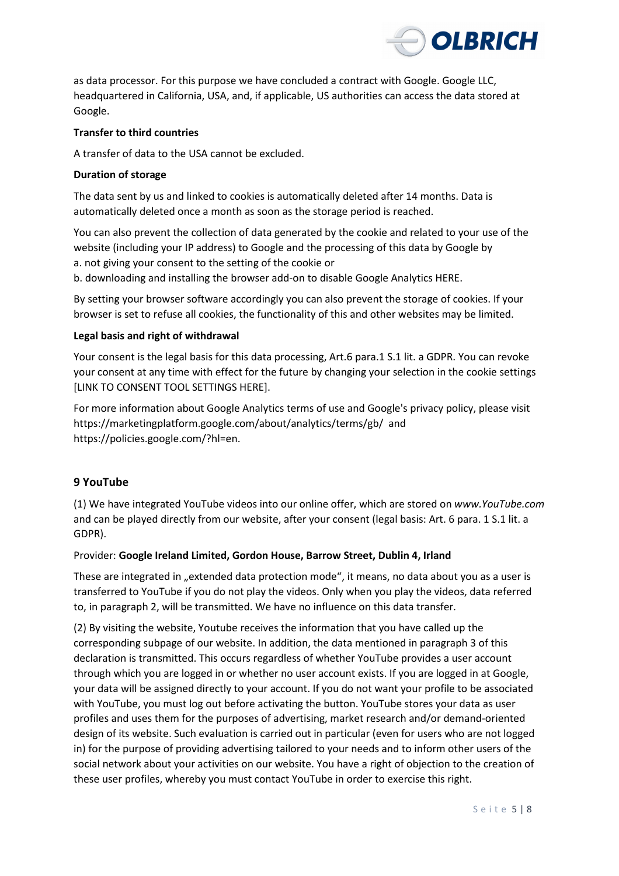

as data processor. For this purpose we have concluded a contract with Google. Google LLC, headquartered in California, USA, and, if applicable, US authorities can access the data stored at Google.

### **Transfer to third countries**

A transfer of data to the USA cannot be excluded.

### **Duration of storage**

The data sent by us and linked to cookies is automatically deleted after 14 months. Data is automatically deleted once a month as soon as the storage period is reached.

You can also prevent the collection of data generated by the cookie and related to your use of the website (including your IP address) to Google and the processing of this data by Google by

a. not giving your consent to the setting of the cookie or

b. downloading and installing the browser add-on to disable Google Analytics HERE.

By setting your browser software accordingly you can also prevent the storage of cookies. If your browser is set to refuse all cookies, the functionality of this and other websites may be limited.

### **Legal basis and right of withdrawal**

Your consent is the legal basis for this data processing, Art.6 para.1 S.1 lit. a GDPR. You can revoke your consent at any time with effect for the future by changing your selection in the cookie settings [LINK TO CONSENT TOOL SETTINGS HERE].

For more information about Google Analytics terms of use and Google's privacy policy, please visit https://marketingplatform.google.com/about/analytics/terms/gb/ and https://policies.google.com/?hl=en.

# **9 YouTube**

(1) We have integrated YouTube videos into our online offer, which are stored on *www.YouTube.com* and can be played directly from our website, after your consent (legal basis: Art. 6 para. 1 S.1 lit. a GDPR).

# Provider: **Google Ireland Limited, Gordon House, Barrow Street, Dublin 4, Irland**

These are integrated in "extended data protection mode", it means, no data about you as a user is transferred to YouTube if you do not play the videos. Only when you play the videos, data referred to, in paragraph 2, will be transmitted. We have no influence on this data transfer.

(2) By visiting the website, Youtube receives the information that you have called up the corresponding subpage of our website. In addition, the data mentioned in paragraph 3 of this declaration is transmitted. This occurs regardless of whether YouTube provides a user account through which you are logged in or whether no user account exists. If you are logged in at Google, your data will be assigned directly to your account. If you do not want your profile to be associated with YouTube, you must log out before activating the button. YouTube stores your data as user profiles and uses them for the purposes of advertising, market research and/or demand-oriented design of its website. Such evaluation is carried out in particular (even for users who are not logged in) for the purpose of providing advertising tailored to your needs and to inform other users of the social network about your activities on our website. You have a right of objection to the creation of these user profiles, whereby you must contact YouTube in order to exercise this right.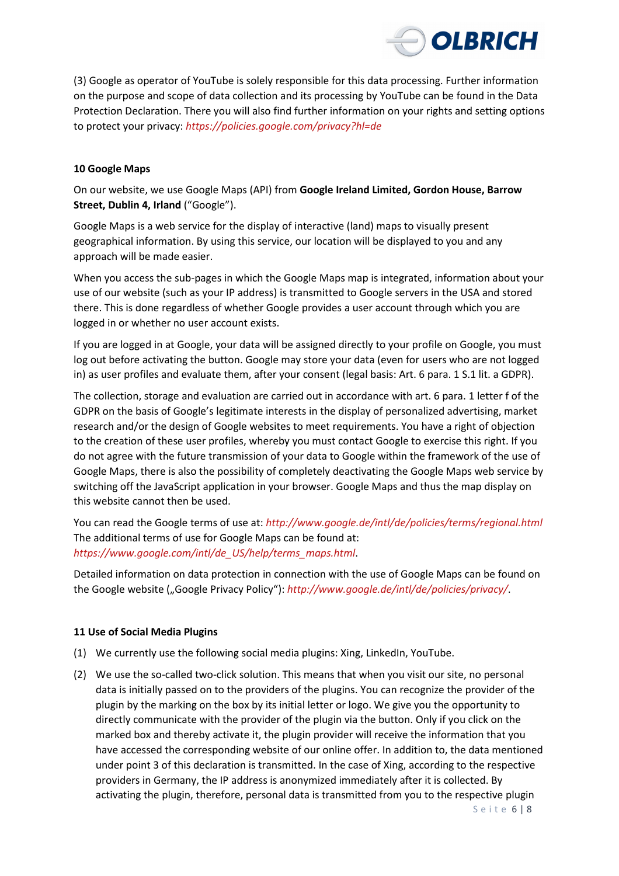

(3) Google as operator of YouTube is solely responsible for this data processing. Further information on the purpose and scope of data collection and its processing by YouTube can be found in the Data Protection Declaration. There you will also find further information on your rights and setting options to protect your privacy: *https://policies.google.com/privacy?hl=de*

### **10 Google Maps**

On our website, we use Google Maps (API) from **Google Ireland Limited, Gordon House, Barrow Street, Dublin 4, Irland** ("Google").

Google Maps is a web service for the display of interactive (land) maps to visually present geographical information. By using this service, our location will be displayed to you and any approach will be made easier.

When you access the sub-pages in which the Google Maps map is integrated, information about your use of our website (such as your IP address) is transmitted to Google servers in the USA and stored there. This is done regardless of whether Google provides a user account through which you are logged in or whether no user account exists.

If you are logged in at Google, your data will be assigned directly to your profile on Google, you must log out before activating the button. Google may store your data (even for users who are not logged in) as user profiles and evaluate them, after your consent (legal basis: Art. 6 para. 1 S.1 lit. a GDPR).

The collection, storage and evaluation are carried out in accordance with art. 6 para. 1 letter f of the GDPR on the basis of Google's legitimate interests in the display of personalized advertising, market research and/or the design of Google websites to meet requirements. You have a right of objection to the creation of these user profiles, whereby you must contact Google to exercise this right. If you do not agree with the future transmission of your data to Google within the framework of the use of Google Maps, there is also the possibility of completely deactivating the Google Maps web service by switching off the JavaScript application in your browser. Google Maps and thus the map display on this website cannot then be used.

You can read the Google terms of use at: *http://www.google.de/intl/de/policies/terms/regional.html* The additional terms of use for Google Maps can be found at: *https://www.google.com/intl/de\_US/help/terms\_maps.html*.

Detailed information on data protection in connection with the use of Google Maps can be found on the Google website ("Google Privacy Policy"): *http://www.google.de/intl/de/policies/privacy/*.

#### **11 Use of Social Media Plugins**

- (1) We currently use the following social media plugins: Xing, LinkedIn, YouTube.
- (2) We use the so-called two-click solution. This means that when you visit our site, no personal data is initially passed on to the providers of the plugins. You can recognize the provider of the plugin by the marking on the box by its initial letter or logo. We give you the opportunity to directly communicate with the provider of the plugin via the button. Only if you click on the marked box and thereby activate it, the plugin provider will receive the information that you have accessed the corresponding website of our online offer. In addition to, the data mentioned under point 3 of this declaration is transmitted. In the case of Xing, according to the respective providers in Germany, the IP address is anonymized immediately after it is collected. By activating the plugin, therefore, personal data is transmitted from you to the respective plugin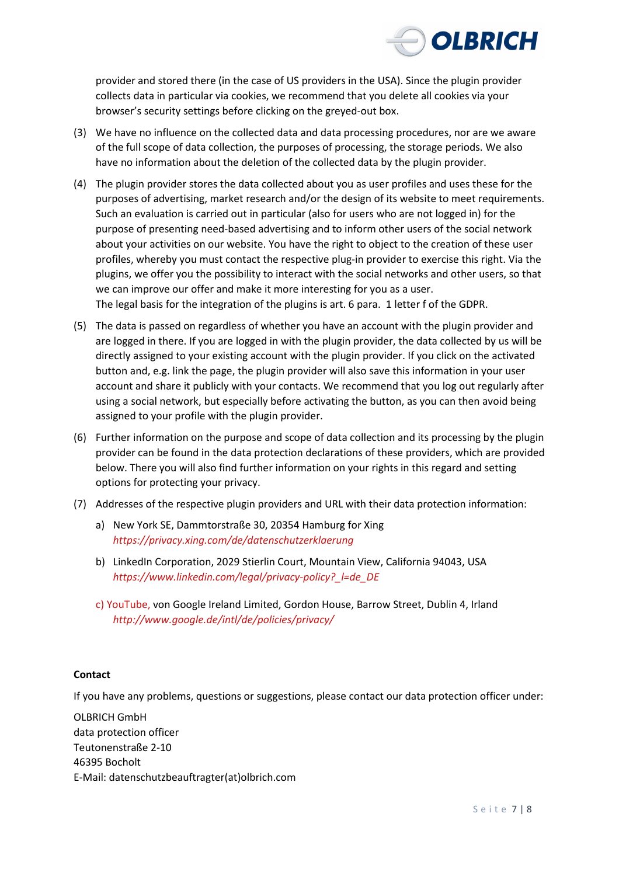

provider and stored there (in the case of US providers in the USA). Since the plugin provider collects data in particular via cookies, we recommend that you delete all cookies via your browser's security settings before clicking on the greyed-out box.

- (3) We have no influence on the collected data and data processing procedures, nor are we aware of the full scope of data collection, the purposes of processing, the storage periods. We also have no information about the deletion of the collected data by the plugin provider.
- (4) The plugin provider stores the data collected about you as user profiles and uses these for the purposes of advertising, market research and/or the design of its website to meet requirements. Such an evaluation is carried out in particular (also for users who are not logged in) for the purpose of presenting need-based advertising and to inform other users of the social network about your activities on our website. You have the right to object to the creation of these user profiles, whereby you must contact the respective plug-in provider to exercise this right. Via the plugins, we offer you the possibility to interact with the social networks and other users, so that we can improve our offer and make it more interesting for you as a user. The legal basis for the integration of the plugins is art. 6 para. 1 letter f of the GDPR.
- (5) The data is passed on regardless of whether you have an account with the plugin provider and are logged in there. If you are logged in with the plugin provider, the data collected by us will be directly assigned to your existing account with the plugin provider. If you click on the activated button and, e.g. link the page, the plugin provider will also save this information in your user account and share it publicly with your contacts. We recommend that you log out regularly after using a social network, but especially before activating the button, as you can then avoid being assigned to your profile with the plugin provider.
- (6) Further information on the purpose and scope of data collection and its processing by the plugin provider can be found in the data protection declarations of these providers, which are provided below. There you will also find further information on your rights in this regard and setting options for protecting your privacy.
- (7) Addresses of the respective plugin providers and URL with their data protection information:
	- a) New York SE, Dammtorstraße 30, 20354 Hamburg for Xing *https://privacy.xing.com/de/datenschutzerklaerung*
	- b) LinkedIn Corporation, 2029 Stierlin Court, Mountain View, California 94043, USA *https://www.linkedin.com/legal/privacy-policy?\_l=de\_DE*
	- c) YouTube, von Google Ireland Limited, Gordon House, Barrow Street, Dublin 4, Irland *http://www.google.de/intl/de/policies/privacy/*

#### **Contact**

If you have any problems, questions or suggestions, please contact our data protection officer under:

OLBRICH GmbH data protection officer Teutonenstraße 2-10 46395 Bocholt E-Mail: datenschutzbeauftragter(at)olbrich.com